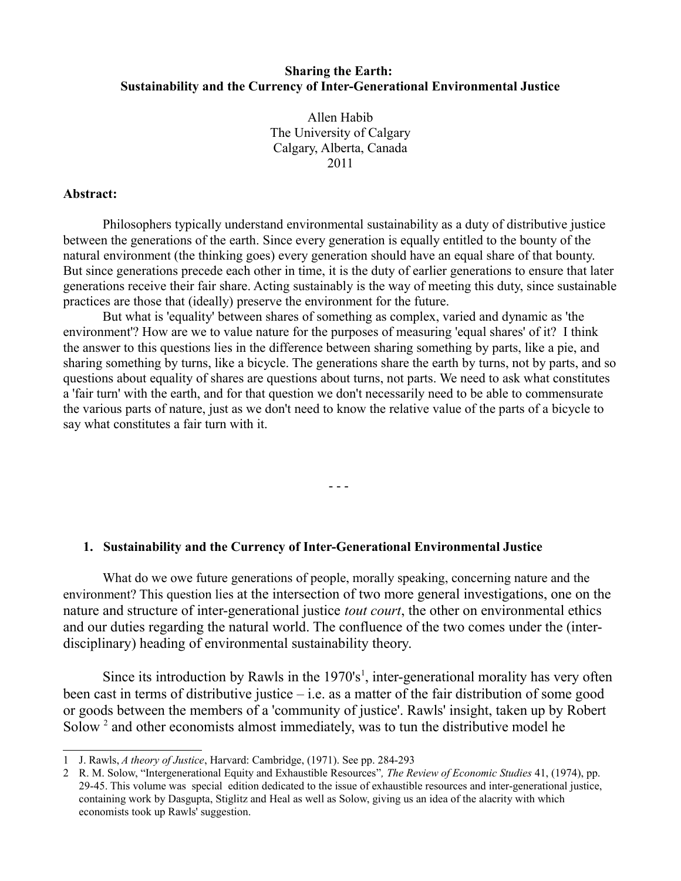### **Sharing the Earth: Sustainability and the Currency of Inter-Generational Environmental Justice**

Allen Habib The University of Calgary Calgary, Alberta, Canada 2011

#### **Abstract:**

Philosophers typically understand environmental sustainability as a duty of distributive justice between the generations of the earth. Since every generation is equally entitled to the bounty of the natural environment (the thinking goes) every generation should have an equal share of that bounty. But since generations precede each other in time, it is the duty of earlier generations to ensure that later generations receive their fair share. Acting sustainably is the way of meeting this duty, since sustainable practices are those that (ideally) preserve the environment for the future.

But what is 'equality' between shares of something as complex, varied and dynamic as 'the environment'? How are we to value nature for the purposes of measuring 'equal shares' of it? I think the answer to this questions lies in the difference between sharing something by parts, like a pie, and sharing something by turns, like a bicycle. The generations share the earth by turns, not by parts, and so questions about equality of shares are questions about turns, not parts. We need to ask what constitutes a 'fair turn' with the earth, and for that question we don't necessarily need to be able to commensurate the various parts of nature, just as we don't need to know the relative value of the parts of a bicycle to say what constitutes a fair turn with it.

- - -

#### **1. Sustainability and the Currency of Inter-Generational Environmental Justice**

What do we owe future generations of people, morally speaking, concerning nature and the environment? This question lies at the intersection of two more general investigations, one on the nature and structure of inter-generational justice *tout court*, the other on environmental ethics and our duties regarding the natural world. The confluence of the two comes under the (interdisciplinary) heading of environmental sustainability theory.

Since its introduction by Rawls in the  $1970's<sup>1</sup>$  $1970's<sup>1</sup>$ , inter-generational morality has very often been cast in terms of distributive justice – i.e. as a matter of the fair distribution of some good or goods between the members of a 'community of justice'. Rawls' insight, taken up by Robert Solow<sup>[2](#page-0-1)</sup> and other economists almost immediately, was to tun the distributive model he

<span id="page-0-0"></span><sup>1</sup> J. Rawls, *A theory of Justice*, Harvard: Cambridge, (1971). See pp. 284-293

<span id="page-0-1"></span><sup>2</sup> R. M. Solow, "Intergenerational Equity and Exhaustible Resources"*, The Review of Economic Studies* 41, (1974), pp. 29-45. This volume was special edition dedicated to the issue of exhaustible resources and inter-generational justice, containing work by Dasgupta, Stiglitz and Heal as well as Solow, giving us an idea of the alacrity with which economists took up Rawls' suggestion.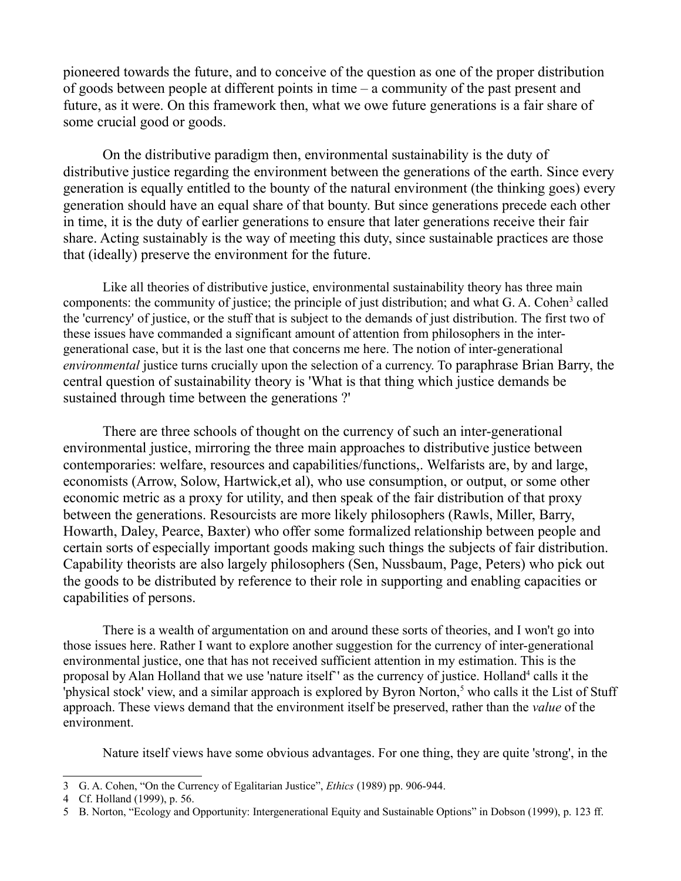pioneered towards the future, and to conceive of the question as one of the proper distribution of goods between people at different points in time – a community of the past present and future, as it were. On this framework then, what we owe future generations is a fair share of some crucial good or goods.

On the distributive paradigm then, environmental sustainability is the duty of distributive justice regarding the environment between the generations of the earth. Since every generation is equally entitled to the bounty of the natural environment (the thinking goes) every generation should have an equal share of that bounty. But since generations precede each other in time, it is the duty of earlier generations to ensure that later generations receive their fair share. Acting sustainably is the way of meeting this duty, since sustainable practices are those that (ideally) preserve the environment for the future.

Like all theories of distributive justice, environmental sustainability theory has three main components: the community of justice; the principle of just distribution; and what G. A. Cohen<sup>[3](#page-1-0)</sup> called the 'currency' of justice, or the stuff that is subject to the demands of just distribution. The first two of these issues have commanded a significant amount of attention from philosophers in the intergenerational case, but it is the last one that concerns me here. The notion of inter-generational *environmental* justice turns crucially upon the selection of a currency. To paraphrase Brian Barry, the central question of sustainability theory is 'What is that thing which justice demands be sustained through time between the generations ?'

There are three schools of thought on the currency of such an inter-generational environmental justice, mirroring the three main approaches to distributive justice between contemporaries: welfare, resources and capabilities/functions,. Welfarists are, by and large, economists (Arrow, Solow, Hartwick,et al), who use consumption, or output, or some other economic metric as a proxy for utility, and then speak of the fair distribution of that proxy between the generations. Resourcists are more likely philosophers (Rawls, Miller, Barry, Howarth, Daley, Pearce, Baxter) who offer some formalized relationship between people and certain sorts of especially important goods making such things the subjects of fair distribution. Capability theorists are also largely philosophers (Sen, Nussbaum, Page, Peters) who pick out the goods to be distributed by reference to their role in supporting and enabling capacities or capabilities of persons.

There is a wealth of argumentation on and around these sorts of theories, and I won't go into those issues here. Rather I want to explore another suggestion for the currency of inter-generational environmental justice, one that has not received sufficient attention in my estimation. This is the proposal by Alan Holland that we use 'nature itself' as the currency of justice. Holland<sup>[4](#page-1-1)</sup> calls it the 'physical stock' view, and a similar approach is explored by Byron Norton,<sup>[5](#page-1-2)</sup> who calls it the List of Stuff approach. These views demand that the environment itself be preserved, rather than the *value* of the environment.

Nature itself views have some obvious advantages. For one thing, they are quite 'strong', in the

<span id="page-1-0"></span><sup>3</sup> G. A. Cohen, "On the Currency of Egalitarian Justice", *Ethics* (1989) pp. 906-944.

<span id="page-1-1"></span><sup>4</sup> Cf. Holland (1999), p. 56.

<span id="page-1-2"></span><sup>5</sup> B. Norton, "Ecology and Opportunity: Intergenerational Equity and Sustainable Options" in Dobson (1999), p. 123 ff.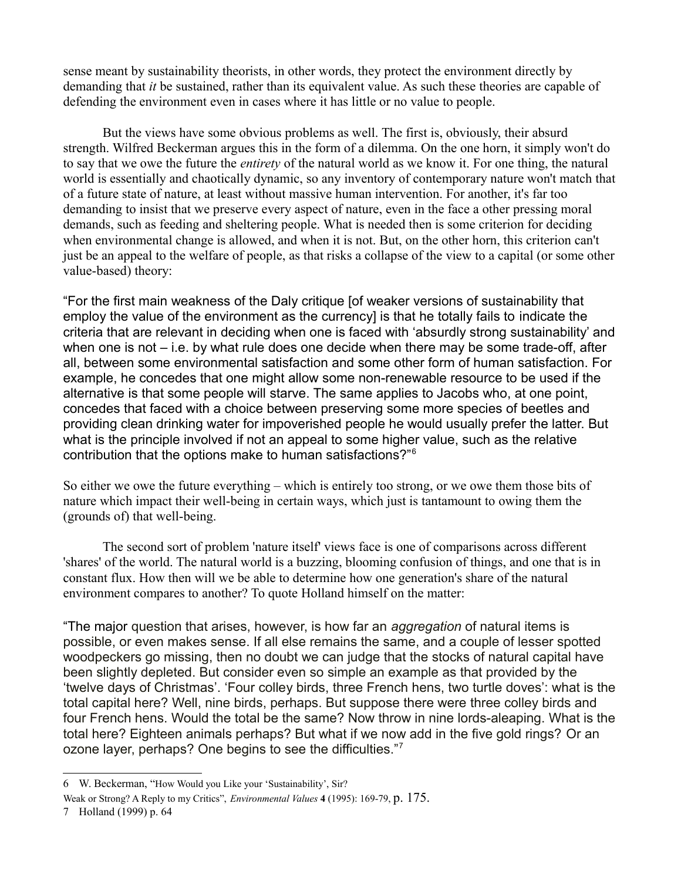sense meant by sustainability theorists, in other words, they protect the environment directly by demanding that *it* be sustained, rather than its equivalent value. As such these theories are capable of defending the environment even in cases where it has little or no value to people.

But the views have some obvious problems as well. The first is, obviously, their absurd strength. Wilfred Beckerman argues this in the form of a dilemma. On the one horn, it simply won't do to say that we owe the future the *entirety* of the natural world as we know it. For one thing, the natural world is essentially and chaotically dynamic, so any inventory of contemporary nature won't match that of a future state of nature, at least without massive human intervention. For another, it's far too demanding to insist that we preserve every aspect of nature, even in the face a other pressing moral demands, such as feeding and sheltering people. What is needed then is some criterion for deciding when environmental change is allowed, and when it is not. But, on the other horn, this criterion can't just be an appeal to the welfare of people, as that risks a collapse of the view to a capital (or some other value-based) theory:

"For the first main weakness of the Daly critique [of weaker versions of sustainability that employ the value of the environment as the currency] is that he totally fails to indicate the criteria that are relevant in deciding when one is faced with 'absurdly strong sustainability' and when one is not – i.e. by what rule does one decide when there may be some trade-off, after all, between some environmental satisfaction and some other form of human satisfaction. For example, he concedes that one might allow some non-renewable resource to be used if the alternative is that some people will starve. The same applies to Jacobs who, at one point, concedes that faced with a choice between preserving some more species of beetles and providing clean drinking water for impoverished people he would usually prefer the latter. But what is the principle involved if not an appeal to some higher value, such as the relative contribution that the options make to human satisfactions?"[6](#page-2-0)

So either we owe the future everything – which is entirely too strong, or we owe them those bits of nature which impact their well-being in certain ways, which just is tantamount to owing them the (grounds of) that well-being.

The second sort of problem 'nature itself' views face is one of comparisons across different 'shares' of the world. The natural world is a buzzing, blooming confusion of things, and one that is in constant flux. How then will we be able to determine how one generation's share of the natural environment compares to another? To quote Holland himself on the matter:

"The major question that arises, however, is how far an *aggregation* of natural items is possible, or even makes sense. If all else remains the same, and a couple of lesser spotted woodpeckers go missing, then no doubt we can judge that the stocks of natural capital have been slightly depleted. But consider even so simple an example as that provided by the 'twelve days of Christmas'. 'Four colley birds, three French hens, two turtle doves': what is the total capital here? Well, nine birds, perhaps. But suppose there were three colley birds and four French hens. Would the total be the same? Now throw in nine lords-aleaping. What is the total here? Eighteen animals perhaps? But what if we now add in the five gold rings? Or an ozone layer, perhaps? One begins to see the difficulties."[7](#page-2-1)

<span id="page-2-0"></span><sup>6</sup> W. Beckerman, "How Would you Like your 'Sustainability', Sir?

Weak or Strong? A Reply to my Critics", *Environmental Values* **4** (1995): 169-79, p. 175.

<span id="page-2-1"></span><sup>7</sup> Holland (1999) p. 64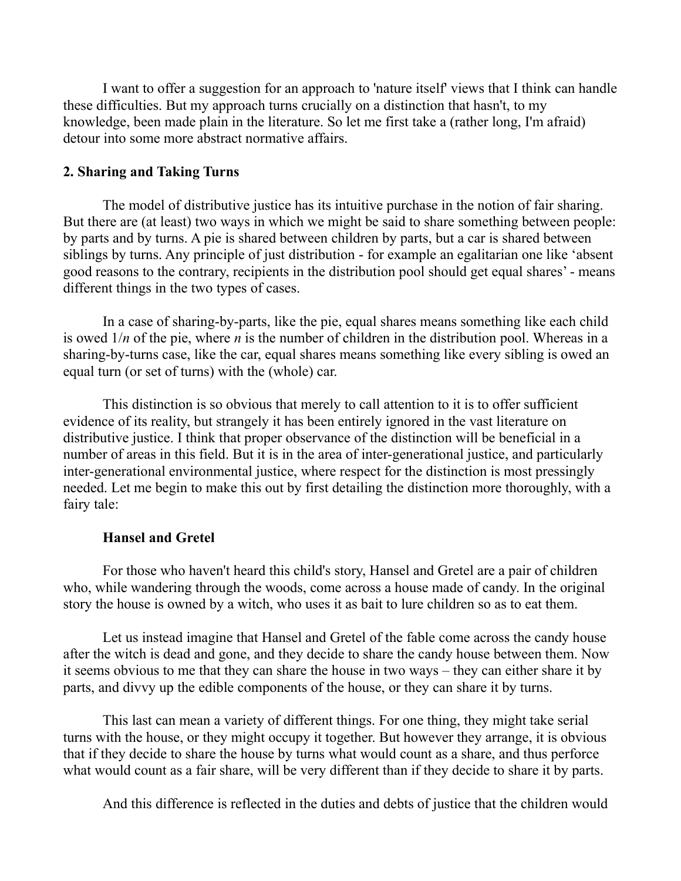I want to offer a suggestion for an approach to 'nature itself' views that I think can handle these difficulties. But my approach turns crucially on a distinction that hasn't, to my knowledge, been made plain in the literature. So let me first take a (rather long, I'm afraid) detour into some more abstract normative affairs.

# **2. Sharing and Taking Turns**

The model of distributive justice has its intuitive purchase in the notion of fair sharing. But there are (at least) two ways in which we might be said to share something between people: by parts and by turns. A pie is shared between children by parts, but a car is shared between siblings by turns. Any principle of just distribution - for example an egalitarian one like 'absent good reasons to the contrary, recipients in the distribution pool should get equal shares' - means different things in the two types of cases.

In a case of sharing-by-parts, like the pie, equal shares means something like each child is owed 1/*n* of the pie, where *n* is the number of children in the distribution pool. Whereas in a sharing-by-turns case, like the car, equal shares means something like every sibling is owed an equal turn (or set of turns) with the (whole) car.

This distinction is so obvious that merely to call attention to it is to offer sufficient evidence of its reality, but strangely it has been entirely ignored in the vast literature on distributive justice. I think that proper observance of the distinction will be beneficial in a number of areas in this field. But it is in the area of inter-generational justice, and particularly inter-generational environmental justice, where respect for the distinction is most pressingly needed. Let me begin to make this out by first detailing the distinction more thoroughly, with a fairy tale:

# **Hansel and Gretel**

For those who haven't heard this child's story, Hansel and Gretel are a pair of children who, while wandering through the woods, come across a house made of candy. In the original story the house is owned by a witch, who uses it as bait to lure children so as to eat them.

Let us instead imagine that Hansel and Gretel of the fable come across the candy house after the witch is dead and gone, and they decide to share the candy house between them. Now it seems obvious to me that they can share the house in two ways – they can either share it by parts, and divvy up the edible components of the house, or they can share it by turns.

This last can mean a variety of different things. For one thing, they might take serial turns with the house, or they might occupy it together. But however they arrange, it is obvious that if they decide to share the house by turns what would count as a share, and thus perforce what would count as a fair share, will be very different than if they decide to share it by parts.

And this difference is reflected in the duties and debts of justice that the children would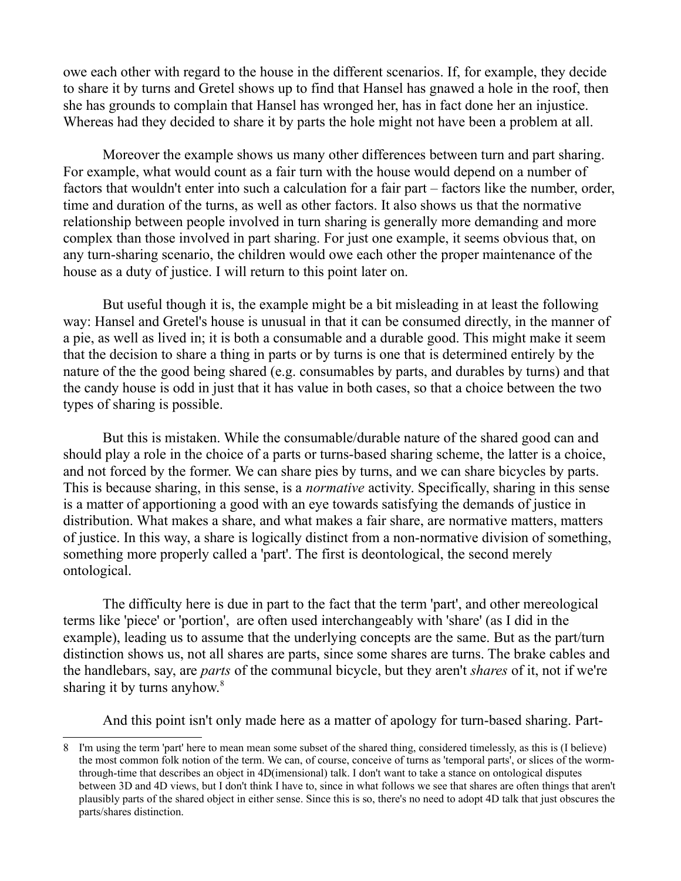owe each other with regard to the house in the different scenarios. If, for example, they decide to share it by turns and Gretel shows up to find that Hansel has gnawed a hole in the roof, then she has grounds to complain that Hansel has wronged her, has in fact done her an injustice. Whereas had they decided to share it by parts the hole might not have been a problem at all.

Moreover the example shows us many other differences between turn and part sharing. For example, what would count as a fair turn with the house would depend on a number of factors that wouldn't enter into such a calculation for a fair part – factors like the number, order, time and duration of the turns, as well as other factors. It also shows us that the normative relationship between people involved in turn sharing is generally more demanding and more complex than those involved in part sharing. For just one example, it seems obvious that, on any turn-sharing scenario, the children would owe each other the proper maintenance of the house as a duty of justice. I will return to this point later on.

But useful though it is, the example might be a bit misleading in at least the following way: Hansel and Gretel's house is unusual in that it can be consumed directly, in the manner of a pie, as well as lived in; it is both a consumable and a durable good. This might make it seem that the decision to share a thing in parts or by turns is one that is determined entirely by the nature of the the good being shared (e.g. consumables by parts, and durables by turns) and that the candy house is odd in just that it has value in both cases, so that a choice between the two types of sharing is possible.

But this is mistaken. While the consumable/durable nature of the shared good can and should play a role in the choice of a parts or turns-based sharing scheme, the latter is a choice, and not forced by the former. We can share pies by turns, and we can share bicycles by parts. This is because sharing, in this sense, is a *normative* activity. Specifically, sharing in this sense is a matter of apportioning a good with an eye towards satisfying the demands of justice in distribution. What makes a share, and what makes a fair share, are normative matters, matters of justice. In this way, a share is logically distinct from a non-normative division of something, something more properly called a 'part'. The first is deontological, the second merely ontological.

The difficulty here is due in part to the fact that the term 'part', and other mereological terms like 'piece' or 'portion', are often used interchangeably with 'share' (as I did in the example), leading us to assume that the underlying concepts are the same. But as the part/turn distinction shows us, not all shares are parts, since some shares are turns. The brake cables and the handlebars, say, are *parts* of the communal bicycle, but they aren't *shares* of it, not if we're sharing it by turns anyhow. $8$ 

And this point isn't only made here as a matter of apology for turn-based sharing. Part-

<span id="page-4-0"></span><sup>8</sup> I'm using the term 'part' here to mean mean some subset of the shared thing, considered timelessly, as this is (I believe) the most common folk notion of the term. We can, of course, conceive of turns as 'temporal parts', or slices of the wormthrough-time that describes an object in 4D(imensional) talk. I don't want to take a stance on ontological disputes between 3D and 4D views, but I don't think I have to, since in what follows we see that shares are often things that aren't plausibly parts of the shared object in either sense. Since this is so, there's no need to adopt 4D talk that just obscures the parts/shares distinction.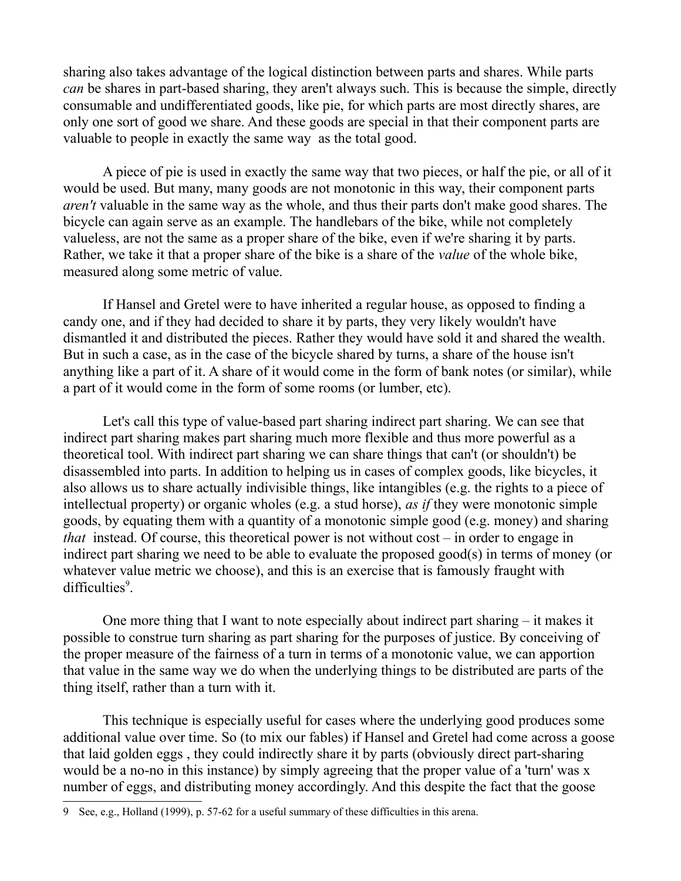sharing also takes advantage of the logical distinction between parts and shares. While parts *can* be shares in part-based sharing, they aren't always such. This is because the simple, directly consumable and undifferentiated goods, like pie, for which parts are most directly shares, are only one sort of good we share. And these goods are special in that their component parts are valuable to people in exactly the same way as the total good.

A piece of pie is used in exactly the same way that two pieces, or half the pie, or all of it would be used. But many, many goods are not monotonic in this way, their component parts *aren't* valuable in the same way as the whole, and thus their parts don't make good shares. The bicycle can again serve as an example. The handlebars of the bike, while not completely valueless, are not the same as a proper share of the bike, even if we're sharing it by parts. Rather, we take it that a proper share of the bike is a share of the *value* of the whole bike, measured along some metric of value.

If Hansel and Gretel were to have inherited a regular house, as opposed to finding a candy one, and if they had decided to share it by parts, they very likely wouldn't have dismantled it and distributed the pieces. Rather they would have sold it and shared the wealth. But in such a case, as in the case of the bicycle shared by turns, a share of the house isn't anything like a part of it. A share of it would come in the form of bank notes (or similar), while a part of it would come in the form of some rooms (or lumber, etc).

Let's call this type of value-based part sharing indirect part sharing. We can see that indirect part sharing makes part sharing much more flexible and thus more powerful as a theoretical tool. With indirect part sharing we can share things that can't (or shouldn't) be disassembled into parts. In addition to helping us in cases of complex goods, like bicycles, it also allows us to share actually indivisible things, like intangibles (e.g. the rights to a piece of intellectual property) or organic wholes (e.g. a stud horse), *as if* they were monotonic simple goods, by equating them with a quantity of a monotonic simple good (e.g. money) and sharing *that* instead. Of course, this theoretical power is not without cost – in order to engage in indirect part sharing we need to be able to evaluate the proposed good(s) in terms of money (or whatever value metric we choose), and this is an exercise that is famously fraught with difficulties<sup>[9](#page-5-0)</sup>.

One more thing that I want to note especially about indirect part sharing – it makes it possible to construe turn sharing as part sharing for the purposes of justice. By conceiving of the proper measure of the fairness of a turn in terms of a monotonic value, we can apportion that value in the same way we do when the underlying things to be distributed are parts of the thing itself, rather than a turn with it.

This technique is especially useful for cases where the underlying good produces some additional value over time. So (to mix our fables) if Hansel and Gretel had come across a goose that laid golden eggs , they could indirectly share it by parts (obviously direct part-sharing would be a no-no in this instance) by simply agreeing that the proper value of a 'turn' was x number of eggs, and distributing money accordingly. And this despite the fact that the goose

<span id="page-5-0"></span><sup>9</sup> See, e.g., Holland (1999), p. 57-62 for a useful summary of these difficulties in this arena.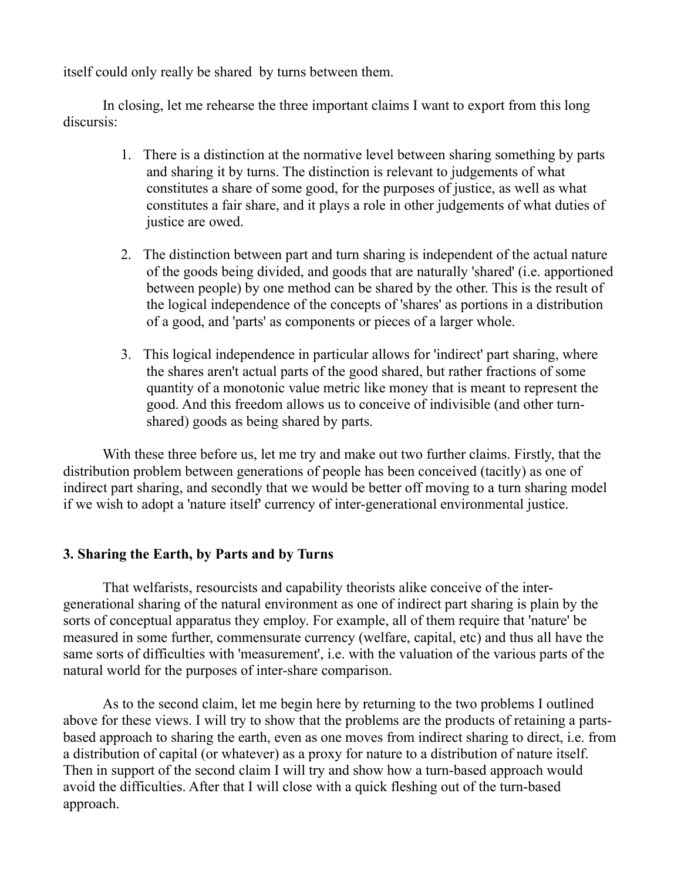itself could only really be shared by turns between them.

In closing, let me rehearse the three important claims I want to export from this long discursis:

- 1. There is a distinction at the normative level between sharing something by parts and sharing it by turns. The distinction is relevant to judgements of what constitutes a share of some good, for the purposes of justice, as well as what constitutes a fair share, and it plays a role in other judgements of what duties of justice are owed.
- 2. The distinction between part and turn sharing is independent of the actual nature of the goods being divided, and goods that are naturally 'shared' (i.e. apportioned between people) by one method can be shared by the other. This is the result of the logical independence of the concepts of 'shares' as portions in a distribution of a good, and 'parts' as components or pieces of a larger whole.
- 3. This logical independence in particular allows for 'indirect' part sharing, where the shares aren't actual parts of the good shared, but rather fractions of some quantity of a monotonic value metric like money that is meant to represent the good. And this freedom allows us to conceive of indivisible (and other turnshared) goods as being shared by parts.

With these three before us, let me try and make out two further claims. Firstly, that the distribution problem between generations of people has been conceived (tacitly) as one of indirect part sharing, and secondly that we would be better off moving to a turn sharing model if we wish to adopt a 'nature itself' currency of inter-generational environmental justice.

# **3. Sharing the Earth, by Parts and by Turns**

That welfarists, resourcists and capability theorists alike conceive of the intergenerational sharing of the natural environment as one of indirect part sharing is plain by the sorts of conceptual apparatus they employ. For example, all of them require that 'nature' be measured in some further, commensurate currency (welfare, capital, etc) and thus all have the same sorts of difficulties with 'measurement', i.e. with the valuation of the various parts of the natural world for the purposes of inter-share comparison.

As to the second claim, let me begin here by returning to the two problems I outlined above for these views. I will try to show that the problems are the products of retaining a partsbased approach to sharing the earth, even as one moves from indirect sharing to direct, i.e. from a distribution of capital (or whatever) as a proxy for nature to a distribution of nature itself. Then in support of the second claim I will try and show how a turn-based approach would avoid the difficulties. After that I will close with a quick fleshing out of the turn-based approach.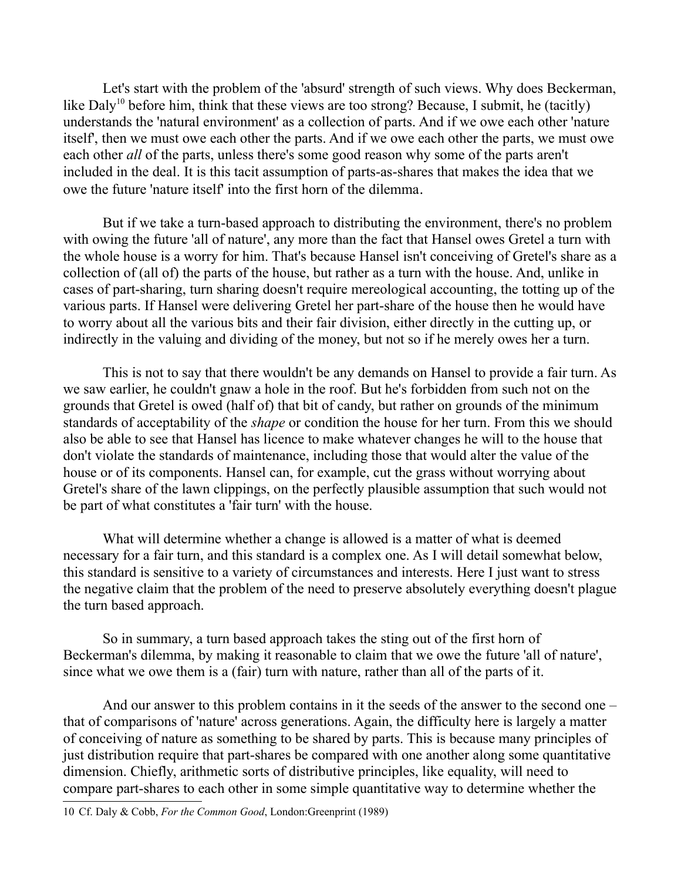Let's start with the problem of the 'absurd' strength of such views. Why does Beckerman, like Daly<sup>[10](#page-7-0)</sup> before him, think that these views are too strong? Because, I submit, he (tacitly) understands the 'natural environment' as a collection of parts. And if we owe each other 'nature itself', then we must owe each other the parts. And if we owe each other the parts, we must owe each other *all* of the parts, unless there's some good reason why some of the parts aren't included in the deal. It is this tacit assumption of parts-as-shares that makes the idea that we owe the future 'nature itself' into the first horn of the dilemma.

But if we take a turn-based approach to distributing the environment, there's no problem with owing the future 'all of nature', any more than the fact that Hansel owes Gretel a turn with the whole house is a worry for him. That's because Hansel isn't conceiving of Gretel's share as a collection of (all of) the parts of the house, but rather as a turn with the house. And, unlike in cases of part-sharing, turn sharing doesn't require mereological accounting, the totting up of the various parts. If Hansel were delivering Gretel her part-share of the house then he would have to worry about all the various bits and their fair division, either directly in the cutting up, or indirectly in the valuing and dividing of the money, but not so if he merely owes her a turn.

This is not to say that there wouldn't be any demands on Hansel to provide a fair turn. As we saw earlier, he couldn't gnaw a hole in the roof. But he's forbidden from such not on the grounds that Gretel is owed (half of) that bit of candy, but rather on grounds of the minimum standards of acceptability of the *shape* or condition the house for her turn. From this we should also be able to see that Hansel has licence to make whatever changes he will to the house that don't violate the standards of maintenance, including those that would alter the value of the house or of its components. Hansel can, for example, cut the grass without worrying about Gretel's share of the lawn clippings, on the perfectly plausible assumption that such would not be part of what constitutes a 'fair turn' with the house.

What will determine whether a change is allowed is a matter of what is deemed necessary for a fair turn, and this standard is a complex one. As I will detail somewhat below, this standard is sensitive to a variety of circumstances and interests. Here I just want to stress the negative claim that the problem of the need to preserve absolutely everything doesn't plague the turn based approach.

So in summary, a turn based approach takes the sting out of the first horn of Beckerman's dilemma, by making it reasonable to claim that we owe the future 'all of nature', since what we owe them is a (fair) turn with nature, rather than all of the parts of it.

<span id="page-7-0"></span>And our answer to this problem contains in it the seeds of the answer to the second one – that of comparisons of 'nature' across generations. Again, the difficulty here is largely a matter of conceiving of nature as something to be shared by parts. This is because many principles of just distribution require that part-shares be compared with one another along some quantitative dimension. Chiefly, arithmetic sorts of distributive principles, like equality, will need to compare part-shares to each other in some simple quantitative way to determine whether the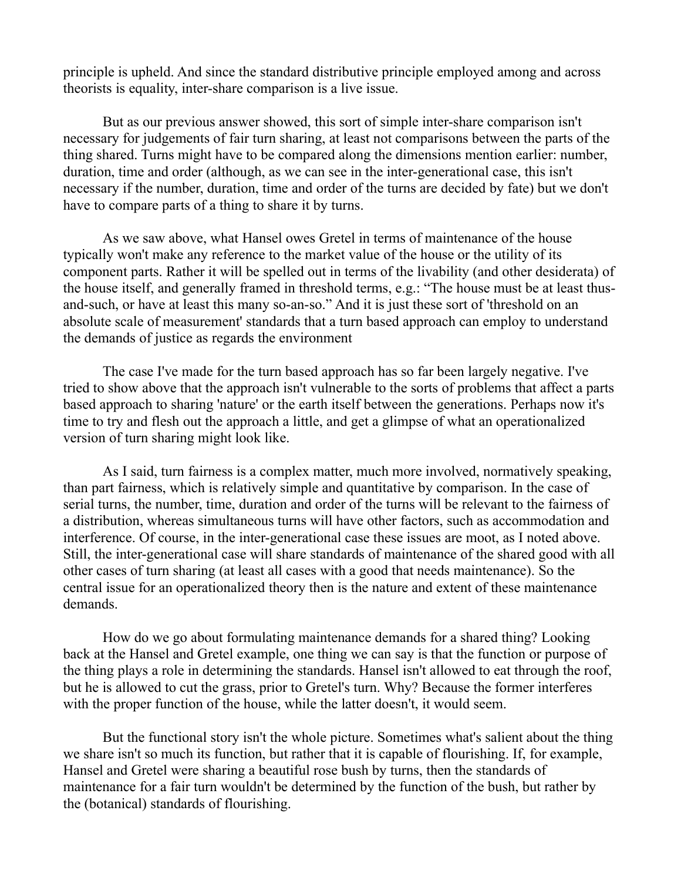principle is upheld. And since the standard distributive principle employed among and across theorists is equality, inter-share comparison is a live issue.

But as our previous answer showed, this sort of simple inter-share comparison isn't necessary for judgements of fair turn sharing, at least not comparisons between the parts of the thing shared. Turns might have to be compared along the dimensions mention earlier: number, duration, time and order (although, as we can see in the inter-generational case, this isn't necessary if the number, duration, time and order of the turns are decided by fate) but we don't have to compare parts of a thing to share it by turns.

As we saw above, what Hansel owes Gretel in terms of maintenance of the house typically won't make any reference to the market value of the house or the utility of its component parts. Rather it will be spelled out in terms of the livability (and other desiderata) of the house itself, and generally framed in threshold terms, e.g.: "The house must be at least thusand-such, or have at least this many so-an-so." And it is just these sort of 'threshold on an absolute scale of measurement' standards that a turn based approach can employ to understand the demands of justice as regards the environment

The case I've made for the turn based approach has so far been largely negative. I've tried to show above that the approach isn't vulnerable to the sorts of problems that affect a parts based approach to sharing 'nature' or the earth itself between the generations. Perhaps now it's time to try and flesh out the approach a little, and get a glimpse of what an operationalized version of turn sharing might look like.

As I said, turn fairness is a complex matter, much more involved, normatively speaking, than part fairness, which is relatively simple and quantitative by comparison. In the case of serial turns, the number, time, duration and order of the turns will be relevant to the fairness of a distribution, whereas simultaneous turns will have other factors, such as accommodation and interference. Of course, in the inter-generational case these issues are moot, as I noted above. Still, the inter-generational case will share standards of maintenance of the shared good with all other cases of turn sharing (at least all cases with a good that needs maintenance). So the central issue for an operationalized theory then is the nature and extent of these maintenance demands.

How do we go about formulating maintenance demands for a shared thing? Looking back at the Hansel and Gretel example, one thing we can say is that the function or purpose of the thing plays a role in determining the standards. Hansel isn't allowed to eat through the roof, but he is allowed to cut the grass, prior to Gretel's turn. Why? Because the former interferes with the proper function of the house, while the latter doesn't, it would seem.

But the functional story isn't the whole picture. Sometimes what's salient about the thing we share isn't so much its function, but rather that it is capable of flourishing. If, for example, Hansel and Gretel were sharing a beautiful rose bush by turns, then the standards of maintenance for a fair turn wouldn't be determined by the function of the bush, but rather by the (botanical) standards of flourishing.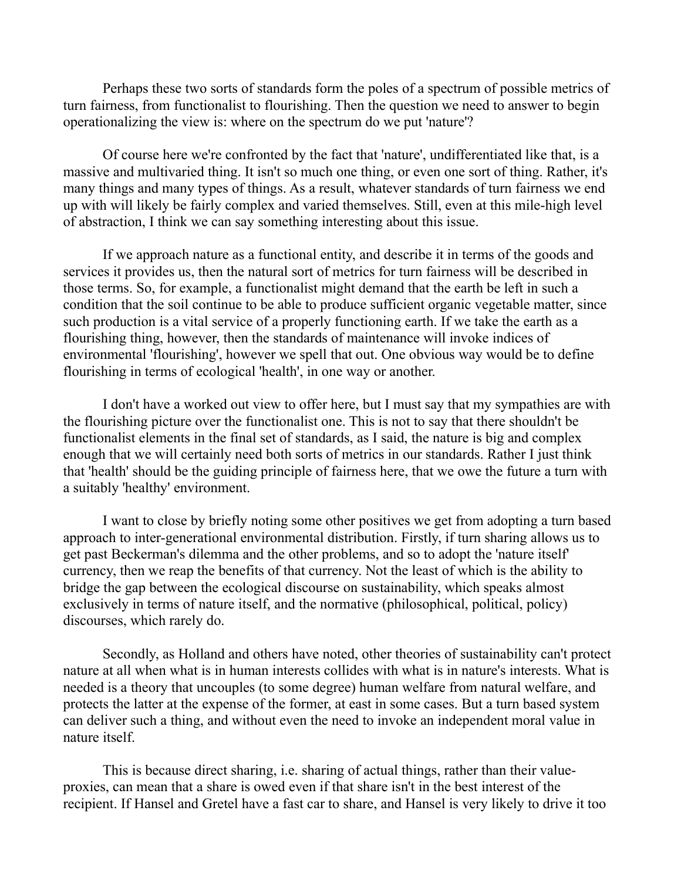Perhaps these two sorts of standards form the poles of a spectrum of possible metrics of turn fairness, from functionalist to flourishing. Then the question we need to answer to begin operationalizing the view is: where on the spectrum do we put 'nature'?

Of course here we're confronted by the fact that 'nature', undifferentiated like that, is a massive and multivaried thing. It isn't so much one thing, or even one sort of thing. Rather, it's many things and many types of things. As a result, whatever standards of turn fairness we end up with will likely be fairly complex and varied themselves. Still, even at this mile-high level of abstraction, I think we can say something interesting about this issue.

If we approach nature as a functional entity, and describe it in terms of the goods and services it provides us, then the natural sort of metrics for turn fairness will be described in those terms. So, for example, a functionalist might demand that the earth be left in such a condition that the soil continue to be able to produce sufficient organic vegetable matter, since such production is a vital service of a properly functioning earth. If we take the earth as a flourishing thing, however, then the standards of maintenance will invoke indices of environmental 'flourishing', however we spell that out. One obvious way would be to define flourishing in terms of ecological 'health', in one way or another.

I don't have a worked out view to offer here, but I must say that my sympathies are with the flourishing picture over the functionalist one. This is not to say that there shouldn't be functionalist elements in the final set of standards, as I said, the nature is big and complex enough that we will certainly need both sorts of metrics in our standards. Rather I just think that 'health' should be the guiding principle of fairness here, that we owe the future a turn with a suitably 'healthy' environment.

I want to close by briefly noting some other positives we get from adopting a turn based approach to inter-generational environmental distribution. Firstly, if turn sharing allows us to get past Beckerman's dilemma and the other problems, and so to adopt the 'nature itself' currency, then we reap the benefits of that currency. Not the least of which is the ability to bridge the gap between the ecological discourse on sustainability, which speaks almost exclusively in terms of nature itself, and the normative (philosophical, political, policy) discourses, which rarely do.

Secondly, as Holland and others have noted, other theories of sustainability can't protect nature at all when what is in human interests collides with what is in nature's interests. What is needed is a theory that uncouples (to some degree) human welfare from natural welfare, and protects the latter at the expense of the former, at east in some cases. But a turn based system can deliver such a thing, and without even the need to invoke an independent moral value in nature itself.

This is because direct sharing, i.e. sharing of actual things, rather than their valueproxies, can mean that a share is owed even if that share isn't in the best interest of the recipient. If Hansel and Gretel have a fast car to share, and Hansel is very likely to drive it too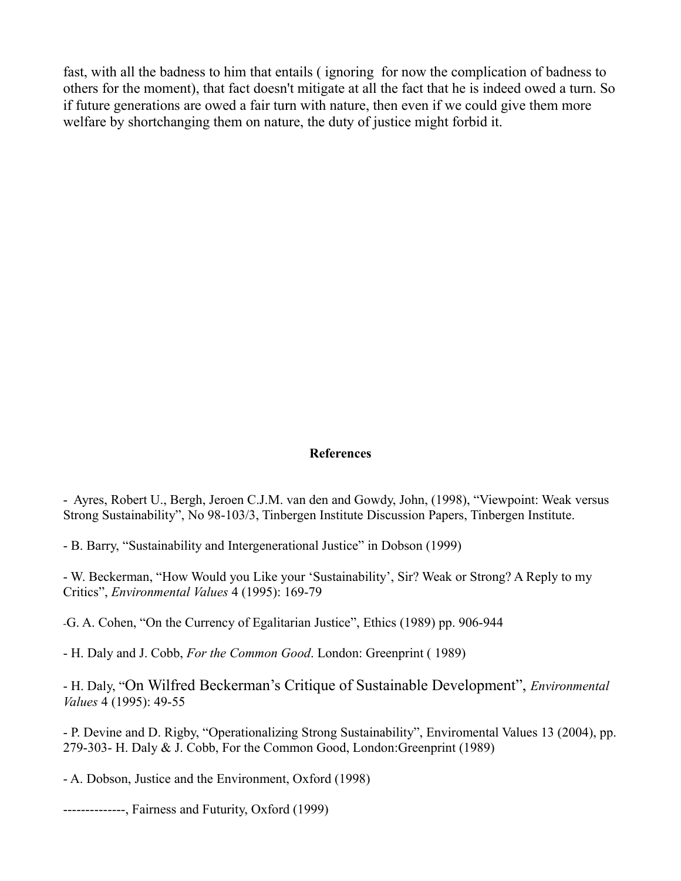fast, with all the badness to him that entails ( ignoring for now the complication of badness to others for the moment), that fact doesn't mitigate at all the fact that he is indeed owed a turn. So if future generations are owed a fair turn with nature, then even if we could give them more welfare by shortchanging them on nature, the duty of justice might forbid it.

### **References**

- Ayres, Robert U., Bergh, Jeroen C.J.M. van den and Gowdy, John, (1998), "Viewpoint: Weak versus Strong Sustainability", No 98-103/3, Tinbergen Institute Discussion Papers, Tinbergen Institute.

- B. Barry, "Sustainability and Intergenerational Justice" in Dobson (1999)

- W. Beckerman, "How Would you Like your 'Sustainability', Sir? Weak or Strong? A Reply to my Critics", *Environmental Values* 4 (1995): 169-79

-G. A. Cohen, "On the Currency of Egalitarian Justice", Ethics (1989) pp. 906-944

- H. Daly and J. Cobb, *For the Common Good*. London: Greenprint ( 1989)

- H. Daly, "On Wilfred Beckerman's Critique of Sustainable Development", *Environmental Values* 4 (1995): 49-55

- P. Devine and D. Rigby, "Operationalizing Strong Sustainability", Enviromental Values 13 (2004), pp. 279-303- H. Daly & J. Cobb, For the Common Good, London:Greenprint (1989)

- A. Dobson, Justice and the Environment, Oxford (1998)

--------------, Fairness and Futurity, Oxford (1999)